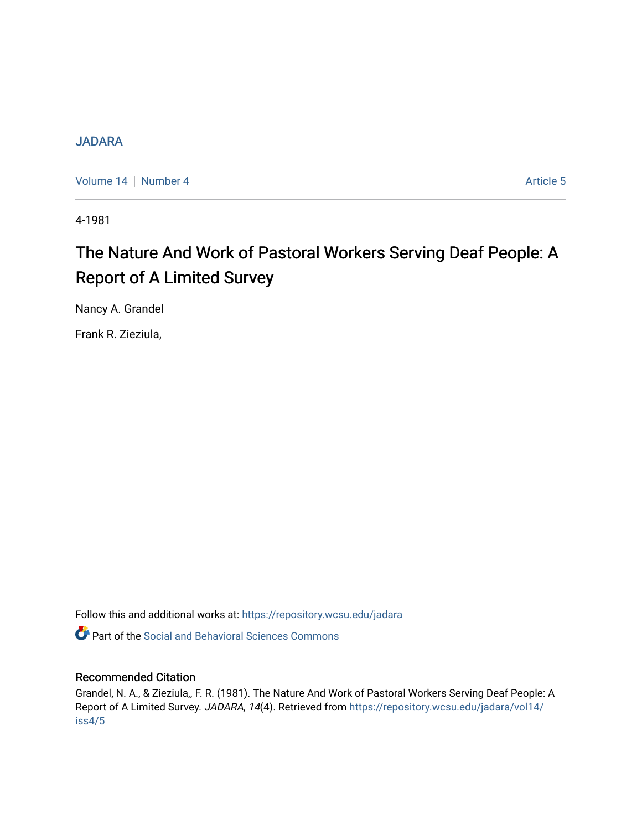# [JADARA](https://repository.wcsu.edu/jadara)

[Volume 14](https://repository.wcsu.edu/jadara/vol14) | [Number 4](https://repository.wcsu.edu/jadara/vol14/iss4) Article 5

4-1981

# The Nature And Work of Pastoral Workers Serving Deaf People: A Report of A Limited Survey

Nancy A. Grandel

Frank R. Zieziula,

Follow this and additional works at: [https://repository.wcsu.edu/jadara](https://repository.wcsu.edu/jadara?utm_source=repository.wcsu.edu%2Fjadara%2Fvol14%2Fiss4%2F5&utm_medium=PDF&utm_campaign=PDFCoverPages)

**C** Part of the Social and Behavioral Sciences Commons

# Recommended Citation

Grandel, N. A., & Zieziula,, F. R. (1981). The Nature And Work of Pastoral Workers Serving Deaf People: A Report of A Limited Survey. JADARA, 14(4). Retrieved from [https://repository.wcsu.edu/jadara/vol14/](https://repository.wcsu.edu/jadara/vol14/iss4/5?utm_source=repository.wcsu.edu%2Fjadara%2Fvol14%2Fiss4%2F5&utm_medium=PDF&utm_campaign=PDFCoverPages) [iss4/5](https://repository.wcsu.edu/jadara/vol14/iss4/5?utm_source=repository.wcsu.edu%2Fjadara%2Fvol14%2Fiss4%2F5&utm_medium=PDF&utm_campaign=PDFCoverPages)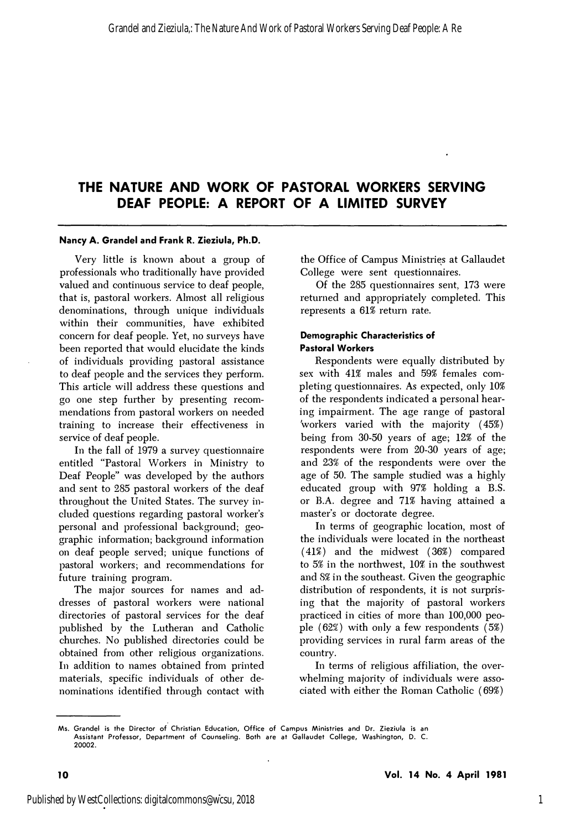# **THE NATURE AND WORK OF PASTORAL WORKERS SERVING DEAF PEOPLE: A REPORT OF A LIMITED SURVEY**

#### **Nancy A. Grandel and Frank R. Zieziula, Ph.D.**

Very little is known about a group of professionals who traditionally have provided valued and continuous service to deaf people, that is, pastoral workers. Almost all religious denominations, through unique individuals within their communities, have exhibited concern for deaf people. Yet, no surveys have been reported that would elucidate the kinds of individuals providing pastoral assistance to deaf people and the services they perform. This article will address these questions and go one step further by presenting recommendations from pastoral workers on needed training to increase their effectiveness in service of deaf people.

In the fall of 1979 a survey questionnaire entitled "Pastoral Workers in Ministry to Deaf People" was developed by the authors and sent to 285 pastoral workers of the deaf throughout the United States. The survey included questions regarding pastoral worker's personal and professional background; geographic information; background information on deaf people served; unique functions of pastoral workers; and recommendations for future training program.

The major sources for names and addresses of pastoral workers were national directories of pastoral services for the deaf published by the Lutheran and Catholic churches. No published directories could be obtained from other religious organizations. In addition to names obtained from printed materials, specific individuals of other denominations identified through contact with

the Office of Campus Ministri�s at Gallaudet College were sent questionnaires.

Of the 285 questionnaires sent, 173 were returned and appropriately completed. This represents a 61% return rate.

# **Demographic Characteristics of Pastoral Workers**

Respondents were equally distributed by sex with 41% males and 59% females completing questionnaires. As expected, only 10% of the respondents indicated a personal hearing impairment. The age range of pastoral 'workers varied with the majority ( 45%) being from 30-50 years of age; 12% of the respondents were from 20-30 years of age; and 23% of the respondents were over the age of 50. The sample studied was a highly educated group with 97% holding a B.S. or B.A. degree and 71% having attained a master's or doctorate degree.

In terms of geographic location, most of the individuals were located in the northeast  $(41\%)$  and the midwest  $(36\%)$  compared to 5% in the northwest, 10% in the southwest and 8% in the southeast. Given the geographic distribution of respondents, it is not surprising that the majority of pastoral workers practiced in cities of more than 100,000 people  $(62\%)$  with only a few respondents  $(5\%)$ providing services in rural farm areas of the country.

In terms of religious affiliation, the overwhelming majority of individuals were associated with either the Homan Catholic (69%)

**Ms. Grandel is the Director of Christian Education, Office of Campus Ministries and Dr. Zieziula is an Assistant Professor, Department of Counseling. Both are at Gallaudet College, Washington, D. C. 20002.**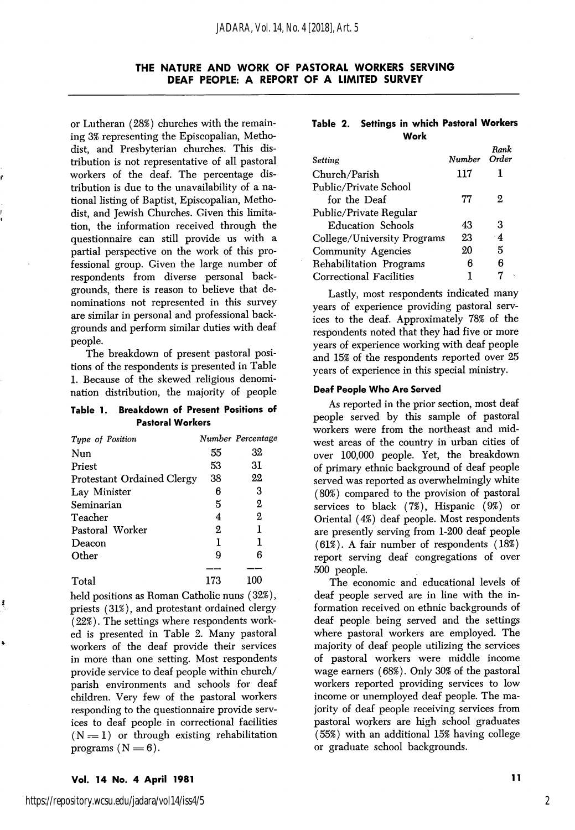# THE NATURE AND WORK OF PASTORAL WORKERS SERVING DEAF PEOPLE: A REPORT OF A LIMITED SURVEY

or Lutheran (28%) churches with the remain ing 3% representing the Episcopalian, Metho dist, and Presbyterian churches. This dis tribution is not representative of all pastoral workers of the deaf. The percentage dis tribution is due to the unavailability of a na tional listing of Baptist, Episcopalian, Metho dist, and Jewish Churches. Given this limita tion, the information received through the questionnaire can still provide us with a partial perspective on the work of this pro fessional group. Given the large number of respondents from diverse personal back grounds, there is reason to believe that de nominations not represented in this survey are similar in personal and professional back grounds and perform similar duties with deaf people.

The breakdown of present pastoral posi tions of the respondents is presented in Table 1. Because of the skewed religious denomi nation distribution, the majority of people

#### Table 1. Breakdown of Present Positions of Pastoral Workers

| Type of Position                  |     | Number Percentage |
|-----------------------------------|-----|-------------------|
| Nun                               | 55  | 32                |
| Priest                            | 53  | 31                |
| <b>Protestant Ordained Clergy</b> | 38  | 22                |
| Lay Minister                      | 6   | 3                 |
| Seminarian                        | 5   | 2                 |
| Teacher                           | 4   | 2                 |
| Pastoral Worker                   | 2   | 1                 |
| Deacon                            | 1   | 1                 |
| Other                             | 9   | R                 |
|                                   |     |                   |
| Total                             | 173 | 100               |

held positions as Roman Catholic nuns (32%), priests (31%), and protestant ordained clergy (22%). The settings where respondents work ed is presented in Table 2. Many pastoral workers of the deaf provide their services in more than one setting. Most respondents provide service to deaf people within church/ parish environments and schools for deaf children. Very few of the pastoral workers responding to the questionnaire provide serv ices to deaf people in correctional facilities  $(N = 1)$  or through existing rehabilitation programs  $(N = 6)$ .

#### Table 2. Settings in which Pastoral Workers Work

| Setting                     | Number Order | Rank      |
|-----------------------------|--------------|-----------|
| Church/Parish               | 117          |           |
| Public/Private School       |              |           |
| for the Deaf                | 77           | 2         |
| Public/Private Regular      |              |           |
| Education Schools           | 43           | 3         |
| College/University Programs | 23           | $\cdot$ 4 |
| <b>Community Agencies</b>   | 20           | 5         |
| Rehabilitation Programs     | В            | 6         |
| Correctional Facilities     |              |           |

Lastly, most respondents indicated many years of experience providing pastoral serv ices to the deaf. Approximately 78% of the respondents noted that they had five or more years of experience working with deaf people and 15% of the respondents reported over 25 years of experience in this special ministry.

#### Deaf People Who Are Served

As reported in the prior section, most deaf people served by this sample of pastoral workers were from the northeast and mid west areas of the country in urban cities of over 100,000 people. Yet, the breakdown of primary ethnic background of deaf people served was reported as overwhelmingly white (80%) compared to the provision of pastoral services to black (7%), Hispanic (9%) or Oriental (4%) deaf people. Most respondents are presently serving from 1-200 deaf people (61%). A fair number of respondents (18%) report serving deaf congregations of over 500 people.

The economic and educational levels of deaf people served are in line with the in formation received on ethnic backgrounds of deaf people being served and the settings where pastoral workers are employed. The majority of deaf people utilizing the services of pastoral workers were middle income wage earners (68%). Only 30% of the pastoral workers reported providing services to low income or unemployed deaf people. The ma jority of deaf people receiving services from pastoral workers are high school graduates (55%) with an additional 15% having college or graduate school backgrounds.

## Vol. 14 No. 4 April 1981 <sup>11</sup>

2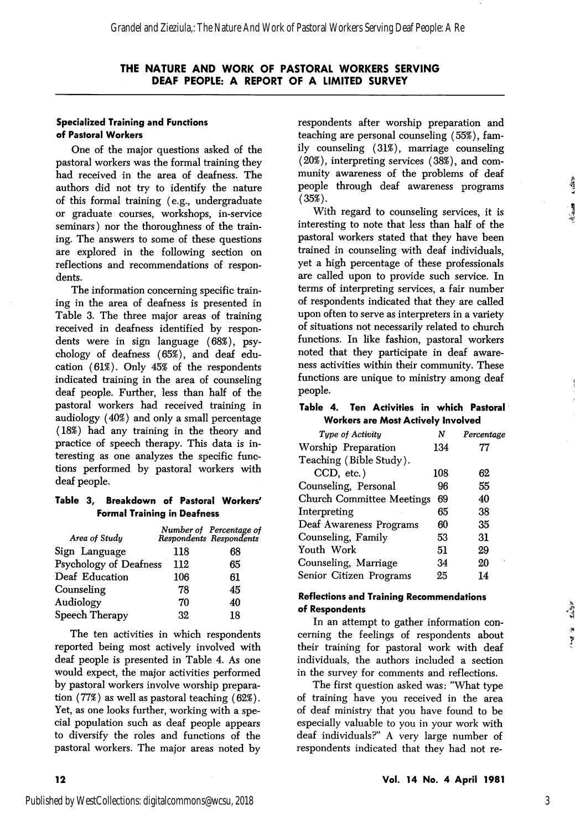# Specialized Training and Functions of Pastoral Workers

One of the major questions asked of the pastoral workers was the formal training they had received in the area of deafness. The authors did not try to identify the nature of this formal training (e.g., undergraduate or graduate courses, workshops, in-service seminars) nor the thoroughness of the train ing. The answers to some of these questions are explored in the following section on reflections and recommendations of respon dents.

The information concerning specific train ing in the area of deafness is presented in Table 3. The three major areas of training received in deafness identified by respon dents were in sign language  $(68%)$ , psychology of deafness (65%), and deaf edu cation (61%). Only 45% of the respondents indicated training in the area of counseling deaf people. Further, less than half of the pastoral workers had received training in audiology (40%) and only a small percentage (18%) had any training in the theory and practice of speech therapy. This data is in teresting as one analyzes the specific func tions performed by pastoral workers with deaf people.

# Table 3, Breakdown of Pastoral Workers' Formal Training in Deafness

| Area of Study          |     | Number of Percentage of<br>Respondents Respondents |
|------------------------|-----|----------------------------------------------------|
| Sign Language          | 118 | 68                                                 |
| Psychology of Deafness | 112 | 65                                                 |
| Deaf Education         | 106 | 61                                                 |
| Counseling             | 78  | 45                                                 |
| Audiology              | 70  | 40                                                 |
| Speech Therapy         | 32  | 18                                                 |
|                        |     |                                                    |

The ten activities in which respondents reported being most actively involved with deaf people is presented in Table 4. As one would expect, the major activities performed by pastoral workers involve worship prepara tion (77%) as well as pastoral teaching (62%). Yet, as one looks further, working with a spe cial population such as deaf people appears to diversify the roles and functions of the pastoral workers. The major areas noted by

respondents after worship preparation and teaching are personal counseling (55%), fam ily counseling (31%), marriage counseling (20%), interpreting services (38%), and com munity awareness of the problems of deaf people through deaf awareness programs  $(35\%)$ .

With regard to counseling services, it is interesting to note that less than half of the pastoral workers stated that they have been trained in counseling with deaf individuals, yet a high percentage of these professionals are called upon to provide such service. In terms of interpreting services, a fair number of respondents indicated that they are called upon often to serve as interpreters in a variety of situations not necessarily related to church functions. In like fashion, pastoral workers noted that they participate in deaf aware ness activities within their community. These functions are unique to ministry among deaf people.

## Table 4. Ten Activities in which Pastoral Workers are Most Actively Involved

| Tupe of Activitu                 | N   | Percentage |
|----------------------------------|-----|------------|
| Worship Preparation              | 134 | 77         |
| Teaching (Bible Study).          |     |            |
| CCD, etc.)                       | 108 | 62         |
| Counseling, Personal             | 96  | 55         |
| <b>Church Committee Meetings</b> | 69  | 40         |
| Interpreting                     | 65  | 38         |
| Deaf Awareness Programs          | 60  | 35         |
| Counseling, Family               | 53  | 31         |
| Youth Work                       | 51  | 29         |
| Counseling, Marriage             | 34  | 20         |
| Senior Citizen Programs          | 25  | 14         |
|                                  |     |            |

# Reflections and Training Recommendations of Respondents

In an attempt to gather information con cerning the feelings of respondents about their training for pastoral work with deaf individuals, the authors included a section in the survey for comments and reflections.

The first question asked was: "What type of training have you received in the area of deaf ministry that you have found to be especially valuable to you in your work with deaf individuals?" A very large number of respondents indicated that they had not re $\Delta r$